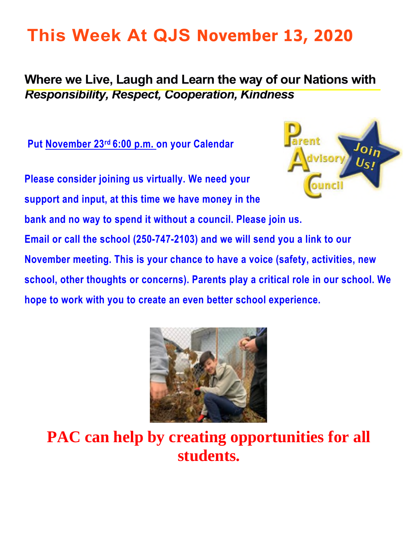# **This Week At QJS November 13, 2020**

### **Where we Live, Laugh and Learn the way of our Nations with**  *Responsibility, Respect, Cooperation, Kindness*

**Put November 23rd 6:00 p.m. on your Calendar** 



**Please consider joining us virtually. We need your support and input, at this time we have money in the bank and no way to spend it without a council. Please join us. Email or call the school (250-747-2103) and we will send you a link to our November meeting. This is your chance to have a voice (safety, activities, new school, other thoughts or concerns). Parents play a critical role in our school. We hope to work with you to create an even better school experience.** 



**PAC can help by creating opportunities for all students.**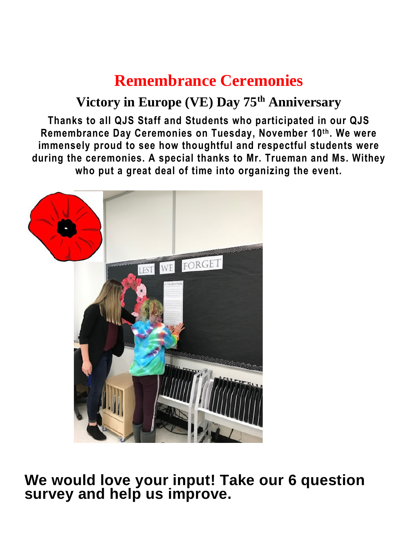## **Remembrance Ceremonies**

### **Victory in Europe (VE) Day 75th Anniversary**

**Thanks to all QJS Staff and Students who participated in our QJS Remembrance Day Ceremonies on Tuesday, November 10th. We were immensely proud to see how thoughtful and respectful students were during the ceremonies. A special thanks to Mr. Trueman and Ms. Withey who put a great deal of time into organizing the event.** 



**We would love your input! Take our 6 question**  survey and help us improve.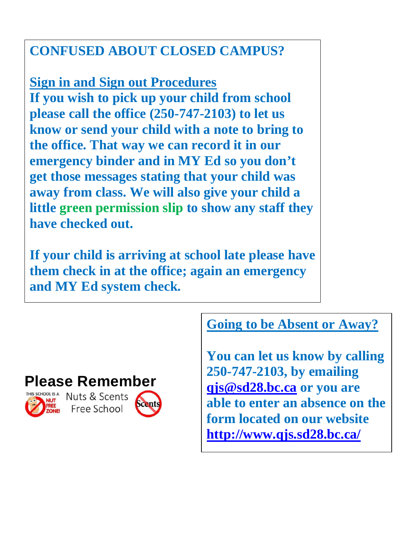### **CONFUSED ABOUT CLOSED CAMPUS?**

**Sign in and Sign out Procedures If you wish to pick up your child from school please call the office (250-747-2103) to let us know or send your child with a note to bring to the office. That way we can record it in our emergency binder and in MY Ed so you don't get those messages stating that your child was away from class. We will also give your child a little green permission slip to show any staff they have checked out.** 

**If your child is arriving at school late please have them check in at the office; again an emergency and MY Ed system check.** 

### **Going to be Absent or Away?**

**You can let us know by calling 250-747-2103, by emailing [qjs@sd28.bc.ca](mailto:qjs@sd28.bc.ca) or you are able to enter an absence on the form located on our website <http://www.qjs.sd28.bc.ca/>**



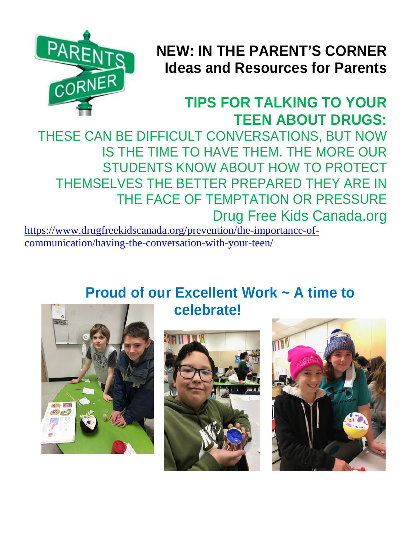

## **NEW: IN THE PARENT'S CORNER Ideas and Resources for Parents**

## **TIPS FOR TALKING TO YOUR TEEN ABOUT DRUGS:**

THESE CAN BE DIFFICULT CONVERSATIONS, BUT NOW IS THE TIME TO HAVE THEM. THE MORE OUR STUDENTS KNOW ABOUT HOW TO PROTECT THEMSELVES THE BETTER PREPARED THEY ARE IN THE FACE OF TEMPTATION OR PRESSURE Drug Free Kids Canada.org

[https://www.drugfreekidscanada.org/prevention/the-importance-of](https://www.drugfreekidscanada.org/prevention/the-importance-of-communication/having-the-conversation-with-your-teen/)[communication/having-the-conversation-with-your-teen/](https://www.drugfreekidscanada.org/prevention/the-importance-of-communication/having-the-conversation-with-your-teen/) 

> **Proud of our Excellent Work ~ A time to celebrate!**





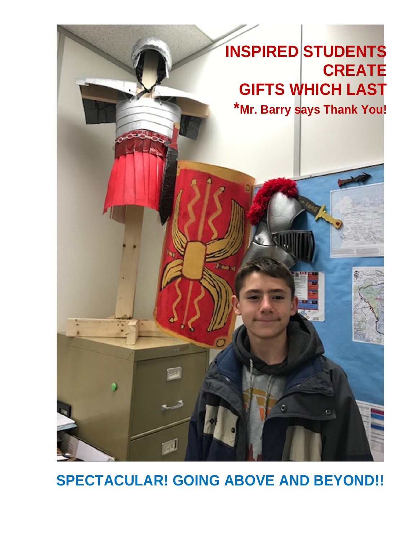

## **SPECTACULAR! GOING ABOVE AND BEYOND!!**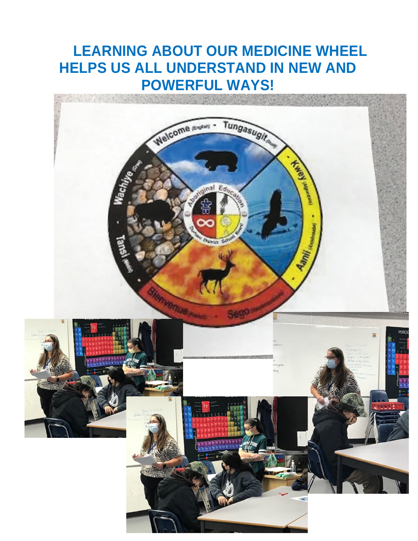## **LEARNING ABOUT OUR MEDICINE WHEEL HELPS US ALL UNDERSTAND IN NEW AND POWERFUL WAYS!**

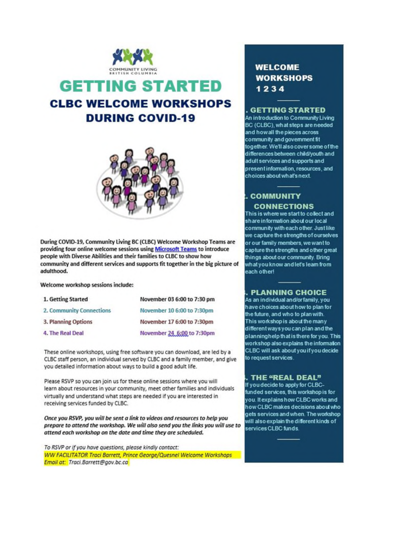

### **GETTING STARTED CLBC WELCOME WORKSHOPS DURING COVID-19**



During COVID-19, Community Living BC (CLBC) Welcome Workshop Teams are providing four online welcome sessions using Microsoft Teams to introduce people with Diverse Abilities and their families to CLBC to show how community and different services and supports fit together in the big picture of adulthood.

Welcome workshop sessions include:

| 1. Getting Started       | November 03 6:00 to 7:30 pm |
|--------------------------|-----------------------------|
| 2. Community Connections | November 10 6:00 to 7:30pm  |
| 3. Planning Options      | November 17 6:00 to 7:30pm  |
| 4. The Real Deal         | November 24_6:00 to 7:30pm  |

These online workshops, using free software you can download, are led by a CLBC staff person, an individual served by CLBC and a family member, and give you detailed information about ways to build a good adult life.

Please RSVP so you can join us for these online sessions where you will learn about resources in your community, meet other families and individuals virtually and understand what steps are needed if you are interested in receiving services funded by CLBC.

Once you RSVP, you will be sent a link to videos and resources to help you prepare to attend the workshop. We will also send you the links you will use to attend each workshop on the date and time they are scheduled.

To RSVP or if you have questions, please kindly contact: WW FACILITATOR Traci Barrett, Prince George/Quesnel Welcome Workshops Email at: Traci.Barrett@gov.bc.ca

#### **WELCOME WORKSHOPS** 1234

#### . GETTING STARTED

An introduction to Community Living BC (CLBC), what steps are needed and how all the pieces across community and government fit together. We'll also cover some of the differences between child/youth and adult services and supports and present information, resources, and choices about what's next.

#### **COMMUNITY CONNECTIONS**

This is where we start to collect and share information about our local community with each other. Just like we capture the strengths of ourselves or our family members, we want to capture the strengths and other great things about our community. Bring what you know and let's leam from each other!

#### **PLANNING CHOICE**

As an individual and/or family, you have choices about how to plan for the future, and who to plan with. This workshop is about the many different ways you can plan and the planninghelp that is there for you. This workshop also explains the information CLBC will ask about you if you decide to request services.

#### THE "REAL DEAL"

If you decide to apply for CLBCfunded services, this workshop is for you. It explains how CLBC works and how CLBC makes decisions about who gets services and when. The workshop will also explain the different kinds of services CLBC funds.